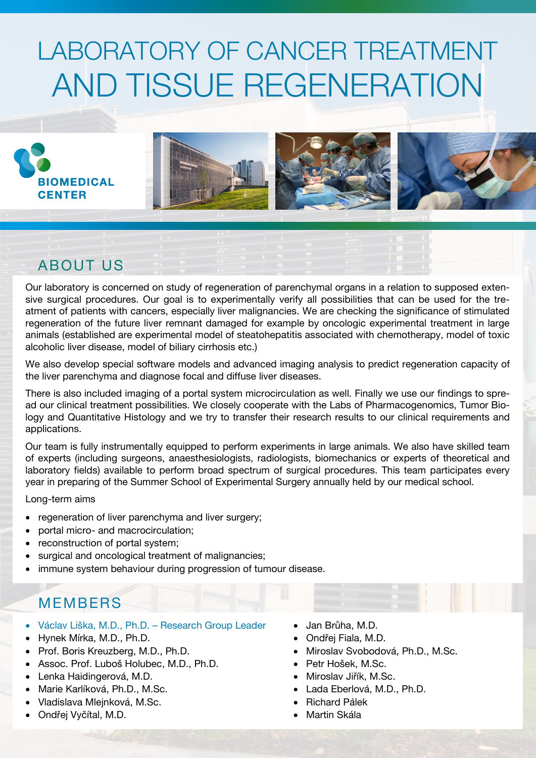# LABORATORY OF CANCER TREATMENT AND TISSUE REGENERATION







## ABOUT US

Our laboratory is concerned on study of regeneration of parenchymal organs in a relation to supposed extensive surgical procedures. Our goal is to experimentally verify all possibilities that can be used for the treatment of patients with cancers, especially liver malignancies. We are checking the significance of stimulated regeneration of the future liver remnant damaged for example by oncologic experimental treatment in large animals (established are experimental model of steatohepatitis associated with chemotherapy, model of toxic alcoholic liver disease, model of biliary cirrhosis etc.)

We also develop special software models and advanced imaging analysis to predict regeneration capacity of the liver parenchyma and diagnose focal and diffuse liver diseases.

There is also included imaging of a portal system microcirculation as well. Finally we use our findings to spread our clinical treatment possibilities. We closely cooperate with the Labs of Pharmacogenomics, Tumor Biology and Quantitative Histology and we try to transfer their research results to our clinical requirements and applications.

Our team is fully instrumentally equipped to perform experiments in large animals. We also have skilled team of experts (including surgeons, anaesthesiologists, radiologists, biomechanics or experts of theoretical and laboratory fields) available to perform broad spectrum of surgical procedures. This team participates every year in preparing of the Summer School of Experimental Surgery annually held by our medical school.

Long-term aims

- regeneration of liver parenchyma and liver surgery;
- portal micro- and macrocirculation;
- reconstruction of portal system;
- surgical and oncological treatment of malignancies;
- immune system behaviour during progression of tumour disease.

#### MEMBERS

- Václav Liška, M.D., Ph.D. Research Group Leader
- Hynek Mírka, M.D., Ph.D.
- Prof. Boris Kreuzberg, M.D., Ph.D.
- Assoc. Prof. Luboš Holubec, M.D., Ph.D.
- Lenka Haidingerová, M.D.
- Marie Karlíková, Ph.D., M.Sc.
- Vladislava Mlejnková, M.Sc.
- Ondřej Vyčítal, M.D.
- Jan Brůha, M.D.
- Ondřej Fiala, M.D.
- Miroslav Svobodová, Ph.D., M.Sc.
- Petr Hošek, M.Sc.
- Miroslav Jiřík, M.Sc.
- Lada Eberlová, M.D., Ph.D.
- Richard Pálek
- Martin Skála